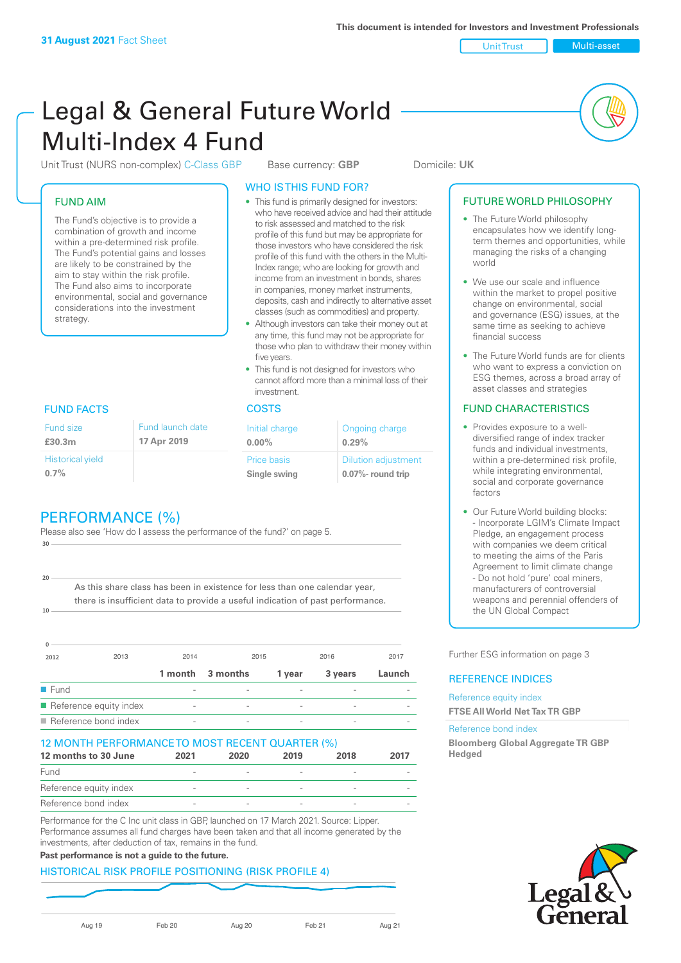Unit Trust Multi-asset

# Legal & General Future World Multi-Index 4 Fund

Unit Trust (NURS non-complex) C-Class GBP Base currency: **GBP** Domicile: UK

# FUND AIM

The Fund's objective is to provide a combination of growth and income within a pre-determined risk profile. The Fund's potential gains and losses are likely to be constrained by the aim to stay within the risk profile. The Fund also aims to incorporate environmental, social and governance considerations into the investment strategy.

# WHO IS THIS FUND FOR?

- This fund is primarily designed for investors: who have received advice and had their attitude to risk assessed and matched to the risk profile of this fund but may be appropriate for those investors who have considered the risk profile of this fund with the others in the Multi-Index range; who are looking for growth and income from an investment in bonds, shares in companies, money market instruments, deposits, cash and indirectly to alternative asset classes (such as commodities) and property.
- Although investors can take their money out at any time, this fund may not be appropriate for those who plan to withdraw their money within five years.
- This fund is not designed for investors who cannot afford more than a minimal loss of their investment.

| Fund launch date | Initial charge              | Ongoing charge                                      |
|------------------|-----------------------------|-----------------------------------------------------|
| 17 Apr 2019      | $0.00\%$                    | 0.29%                                               |
|                  | Price basis<br>Single swing | <b>Dilution adjustment</b><br>$0.07\%$ - round trip |

# FUND FACTS COSTS

Historical yield **0.7%**

Fund size **£30.3m**

**10**

**20**

# PERFORMANCE (%)

Please also see 'How do I assess the performance of the fund?' on page 5. **30**

As this share class has been in existence for less than one calendar year, there is insufficient data to provide a useful indication of past performance.

| 2012                                | 2013                                  | 2014                     | 2015     |                          | 2016                     | 2017   |
|-------------------------------------|---------------------------------------|--------------------------|----------|--------------------------|--------------------------|--------|
|                                     |                                       | 1 month                  | 3 months | 1 year                   | 3 years                  | Launch |
| $\blacksquare$ Fund                 |                                       |                          |          |                          |                          |        |
|                                     | $\blacksquare$ Reference equity index | $\overline{\phantom{a}}$ |          | $\overline{\phantom{a}}$ | $\overline{\phantom{a}}$ |        |
| $\blacksquare$ Reference bond index |                                       | $\overline{\phantom{a}}$ |          | $\overline{\phantom{a}}$ |                          |        |

#### 12 MONTH PERFORMANCE TO MOST RECENT QUARTER (%)

| 12 months to 30 June   | 2021   | 2020 | 2019 | 2018 | 2017 |
|------------------------|--------|------|------|------|------|
| Fund                   |        |      |      |      |      |
| Reference equity index | $\sim$ |      |      |      |      |
| Reference bond index   |        |      |      |      |      |

Performance for the C Inc unit class in GBP, launched on 17 March 2021. Source: Lipper. Performance assumes all fund charges have been taken and that all income generated by the investments, after deduction of tax, remains in the fund.

# **Past performance is not a guide to the future.**

# HISTORICAL RISK PROFILE POSITIONING (RISK PROFILE 4)

Aug 19 Feb 20 Aug 20 Feb 21 Aug 21

# FUTURE WORLD PHILOSOPHY

- The Future World philosophy encapsulates how we identify longterm themes and opportunities, while managing the risks of a changing world
- We use our scale and influence within the market to propel positive change on environmental, social and governance (ESG) issues, at the same time as seeking to achieve financial success
- The Future World funds are for clients who want to express a conviction on ESG themes, across a broad array of asset classes and strategies

# FUND CHARACTERISTICS

- Provides exposure to a welldiversified range of index tracker funds and individual investments, within a pre-determined risk profile while integrating environmental, social and corporate governance factors
- Our Future World building blocks: - Incorporate LGIM's Climate Impact Pledge, an engagement process with companies we deem critical to meeting the aims of the Paris Agreement to limit climate change - Do not hold 'pure' coal miners, manufacturers of controversial weapons and perennial offenders of the UN Global Compact

Further ESG information on page 3

# REFERENCE INDICES

#### Reference equity index **FTSE All World Net Tax TR GBP**

#### Reference bond index

**Bloomberg Global Aggregate TR GBP Hedged**

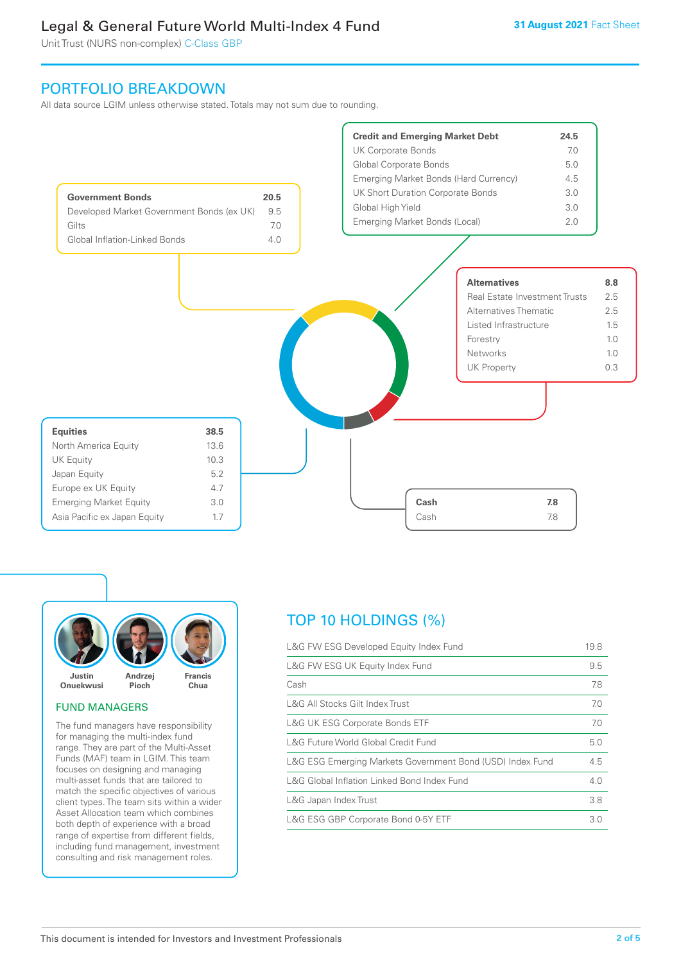Unit Trust (NURS non-complex) C-Class GBP

# PORTFOLIO BREAKDOWN

All data source LGIM unless otherwise stated. Totals may not sum due to rounding.





# FUND MANAGERS

The fund managers have responsibility for managing the multi-index fund range. They are part of the Multi-Asset Funds (MAF) team in LGIM. This team focuses on designing and managing multi-asset funds that are tailored to match the specific objectives of various client types. The team sits within a wider Asset Allocation team which combines both depth of experience with a broad range of expertise from different fields, including fund management, investment consulting and risk management roles.

# TOP 10 HOLDINGS (%)

| L&G FW ESG Developed Equity Index Fund                    |     |
|-----------------------------------------------------------|-----|
| L&G FW ESG UK Equity Index Fund                           | 9.5 |
| Cash                                                      | 7.8 |
| L&G All Stocks Gilt Index Trust                           | 7.0 |
| <b>L&amp;G UK ESG Corporate Bonds ETF</b>                 | 7.0 |
| L&G Future World Global Credit Fund                       | 5.0 |
| L&G ESG Emerging Markets Government Bond (USD) Index Fund | 4.5 |
| L&G Global Inflation Linked Bond Index Fund               | 4.0 |
| L&G Japan Index Trust                                     | 3.8 |
| L&G ESG GBP Corporate Bond 0-5Y ETF                       | 3.0 |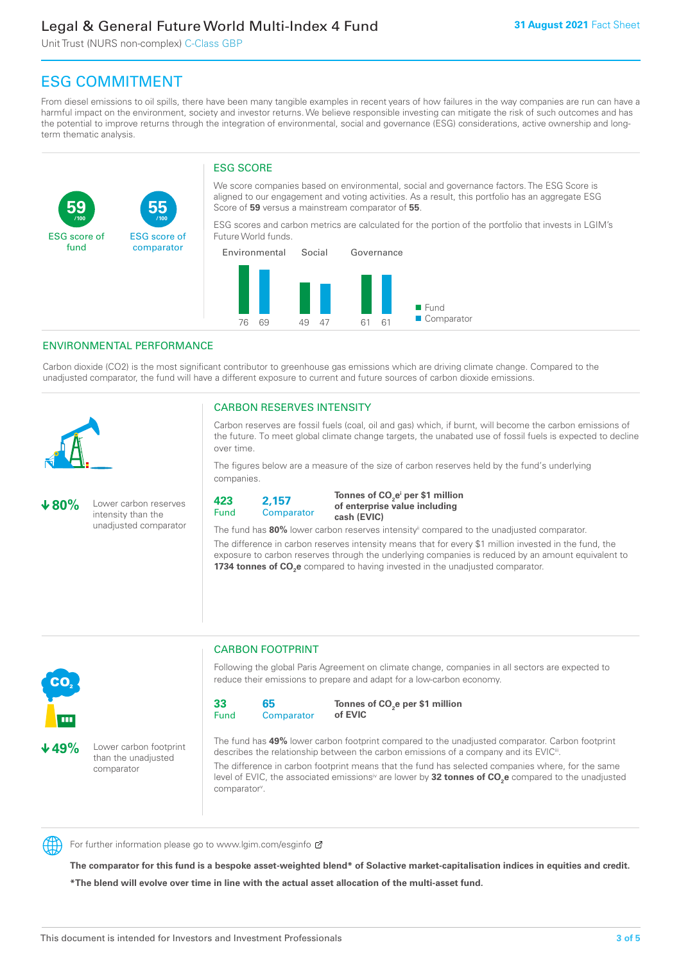Unit Trust (NURS non-complex) C-Class GBP

**55**

ESG score of comparator

# ESG COMMITMENT

From diesel emissions to oil spills, there have been many tangible examples in recent years of how failures in the way companies are run can have a harmful impact on the environment, society and investor returns. We believe responsible investing can mitigate the risk of such outcomes and has the potential to improve returns through the integration of environmental, social and governance (ESG) considerations, active ownership and longterm thematic analysis.

# ESG SCORE

We score companies based on environmental, social and governance factors. The ESG Score is aligned to our engagement and voting activities. As a result, this portfolio has an aggregate ESG Score of **59** versus a mainstream comparator of **55**.

ESG scores and carbon metrics are calculated for the portion of the portfolio that invests in LGIM's Future World funds.



# ENVIRONMENTAL PERFORMANCE

**/100 /100**

Carbon dioxide (CO2) is the most significant contributor to greenhouse gas emissions which are driving climate change. Compared to the unadjusted comparator, the fund will have a different exposure to current and future sources of carbon dioxide emissions.



**59**

ESG score of fund

### CARBON RESERVES INTENSITY

Carbon reserves are fossil fuels (coal, oil and gas) which, if burnt, will become the carbon emissions of the future. To meet global climate change targets, the unabated use of fossil fuels is expected to decline over time.

The figures below are a measure of the size of carbon reserves held by the fund's underlying companies.

**80%** Lower carbon reserves intensity than the unadjusted comparator



Tonnes of CO<sub>2</sub>e<sup>i</sup> per \$1 million **of enterprise value including cash (EVIC)**

The fund has 80% lower carbon reserves intensity<sup>ii</sup> compared to the unadjusted comparator.

The difference in carbon reserves intensity means that for every \$1 million invested in the fund, the exposure to carbon reserves through the underlying companies is reduced by an amount equivalent to **1734 tonnes of CO<sub>2</sub>e** compared to having invested in the unadjusted comparator.



**49%** Lower carbon footprint than the unadjusted comparator

# CARBON FOOTPRINT

Following the global Paris Agreement on climate change, companies in all sectors are expected to reduce their emissions to prepare and adapt for a low-carbon economy.



**Tonnes of CO2 e per \$1 million of EVIC**

The fund has **49%** lower carbon footprint compared to the unadjusted comparator. Carbon footprint describes the relationship between the carbon emissions of a company and its EVIC<sup>ii</sup>.

The difference in carbon footprint means that the fund has selected companies where, for the same level of EVIC, the associated emissions<sup>iv</sup> are lower by **32 tonnes of CO<sub>2</sub>e** compared to the unadjusted comparator<sup>v</sup>.



For further information please go to www.lgim.com/esginfo Ø

**The comparator for this fund is a bespoke asset-weighted blend\* of Solactive market-capitalisation indices in equities and credit. \*The blend will evolve over time in line with the actual asset allocation of the multi-asset fund.**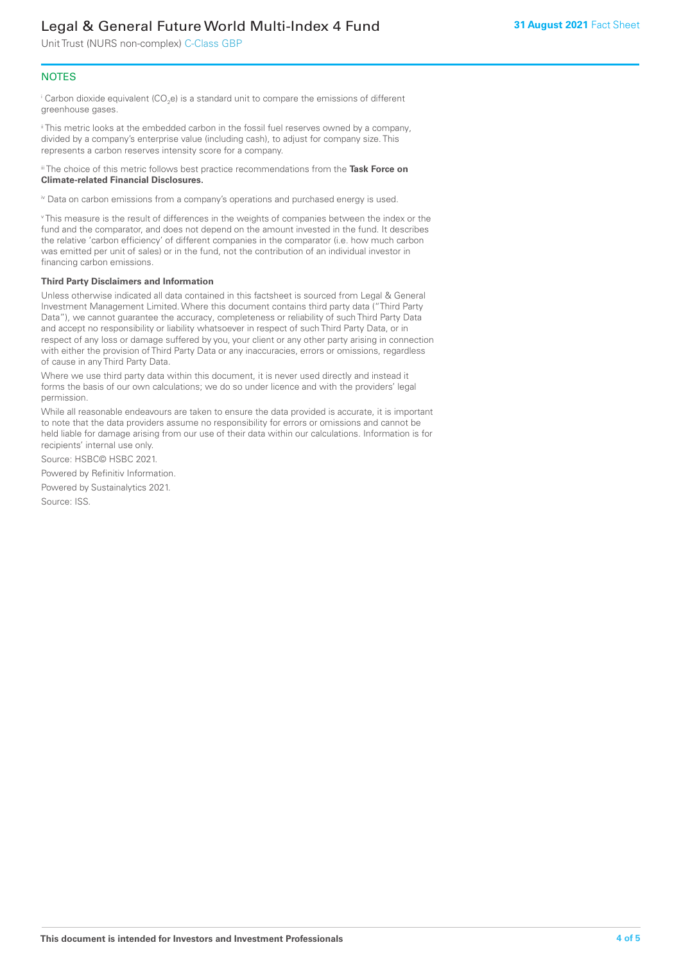Unit Trust (NURS non-complex) C-Class GBP

# **NOTES**

 $^\mathrm{i}$  Carbon dioxide equivalent (CO<sub>2</sub>e) is a standard unit to compare the emissions of different greenhouse gases.

ii This metric looks at the embedded carbon in the fossil fuel reserves owned by a company, divided by a company's enterprise value (including cash), to adjust for company size. This represents a carbon reserves intensity score for a company.

iii The choice of this metric follows best practice recommendations from the **Task Force on Climate-related Financial Disclosures.**

iv Data on carbon emissions from a company's operations and purchased energy is used.

v This measure is the result of differences in the weights of companies between the index or the fund and the comparator, and does not depend on the amount invested in the fund. It describes the relative 'carbon efficiency' of different companies in the comparator (i.e. how much carbon was emitted per unit of sales) or in the fund, not the contribution of an individual investor in financing carbon emissions.

#### **Third Party Disclaimers and Information**

Unless otherwise indicated all data contained in this factsheet is sourced from Legal & General Investment Management Limited. Where this document contains third party data ("Third Party Data"), we cannot guarantee the accuracy, completeness or reliability of such Third Party Data and accept no responsibility or liability whatsoever in respect of such Third Party Data, or in respect of any loss or damage suffered by you, your client or any other party arising in connection with either the provision of Third Party Data or any inaccuracies, errors or omissions, regardless of cause in any Third Party Data.

Where we use third party data within this document, it is never used directly and instead it forms the basis of our own calculations; we do so under licence and with the providers' legal permission.

While all reasonable endeavours are taken to ensure the data provided is accurate, it is important to note that the data providers assume no responsibility for errors or omissions and cannot be held liable for damage arising from our use of their data within our calculations. Information is for recipients' internal use only.

Source: HSBC© HSBC 2021.

Powered by Refinitiv Information.

Powered by Sustainalytics 2021.

Source: ISS.